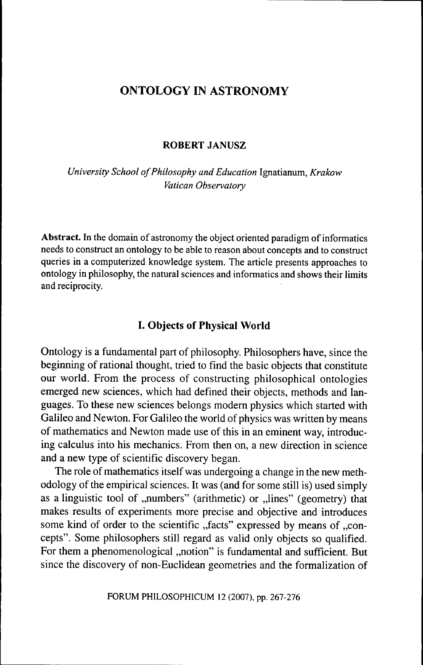# ONTOLOGY IN ASTRONOMY

### **ROBERT JANUSZ**

*University School of Philosophy and Education* Ignatianum, *Krakow Vatican Observatory*

**Abstract.** In the domain of astronomy the object oriented paradigm of informatics needs to construct an ontology to be able to reason about concepts and to construct queries in a computerized knowledge system. The article presents approaches to ontology in philosophy, the natural sciences and informatics and shows their limits and reciprocity.

# **I. Objects of Physical World**

Ontology is a fundamental part of philosophy. Philosophers have, since the beginning of rational thought, tried to find the basic objects that constitute our world. From the process of constructing philosophical ontologies emerged new sciences, which had defined their objects, methods and languages. To these new sciences belongs modem physics which started with Galileo and Newton. For Galileo the world of physics was written by means of mathematics and Newton made use of this in an eminent way, introducing calculus into his mechanics. From then on, a new direction in science and a new type of scientific discovery began.

The role of mathematics itself was undergoing a change in the new methodology of the empirical sciences. It was (and for some still is) used simply as a linguistic tool of "numbers" (arithmetic) or "lines" (geometry) that makes results of experiments more precise and objective and introduces some kind of order to the scientific "facts" expressed by means of "concepts". Some philosophers still regard as valid only objects so qualified. For them a phenomenological "notion" is fundamental and sufficient. But since the discovery of non-Euclidean geometries and the formalization of

FORUM PHILOSOPHICUM 12 (2007), pp. 267-276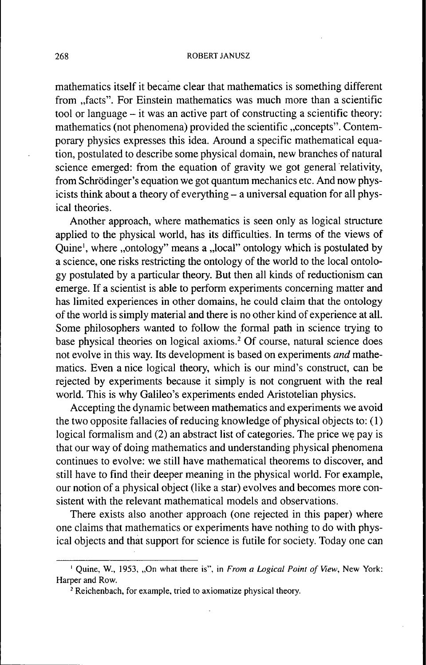mathematics itself it became clear that mathematics is something different from "facts". For Einstein mathematics was much more than a scientific tool or language - it was an active part of constructing a scientific theory: mathematics (not phenomena) provided the scientific "concepts". Contemporary physics expresses this idea. Around a specific mathematical equation, postulated to describe some physical domain, new branches of natural science emerged: from the equation of gravity we got general relativity, from Schrödinger's equation we got quantum mechanics etc. And now physicists think about a theory of everything – a universal equation for all physical theories.

Another approach, where mathematics is seen only as logical structure applied to the physical world, has its difficulties. In terms of the views of Quine<sup>1</sup>, where ,,ontology" means a ,,local" ontology which is postulated by a science, one risks restricting the ontology of the world to the local ontology postulated by a particular theory. But then all kinds of reductionism can emerge. If a scientist is able to perform experiments concerning matter and has limited experiences in other domains, he could claim that the ontology of the world is simply material and there is no other kind of experience at all. Some philosophers wanted to follow the formal path in science trying to base physical theories on logical axioms.<sup>2</sup> Of course, natural science does not evolve in this way. Its development is based on experiments *and* mathematics. Even a nice logical theory, which is our mind's construct, can be rejected by experiments because it simply is not congruent with the real world. This is why Galileo's experiments ended Aristotelian physics.

Accepting the dynamic between mathematics and experiments we avoid the two opposite fallacies of reducing knowledge of physical objects to: (1) logical formalism and (2) an abstract list of categories. The price we pay is that our way of doing mathematics and understanding physical phenomena continues to evolve: we still have mathematical theorems to discover, and still have to find their deeper meaning in the physical world. For example, our notion of a physical object (like a star) evolves and becomes more consistent with the relevant mathematical models and observations.

There exists also another approach (one rejected in this paper) where one claims that mathematics or experiments have nothing to do with physical objects and that support for science is futile for society. Today one can

<sup>&</sup>lt;sup>1</sup> Quine, W., 1953, "On what there is", in From a Logical Point of View, New York: Harper and Row.

<sup>&</sup>lt;sup>2</sup> Reichenbach, for example, tried to axiomatize physical theory.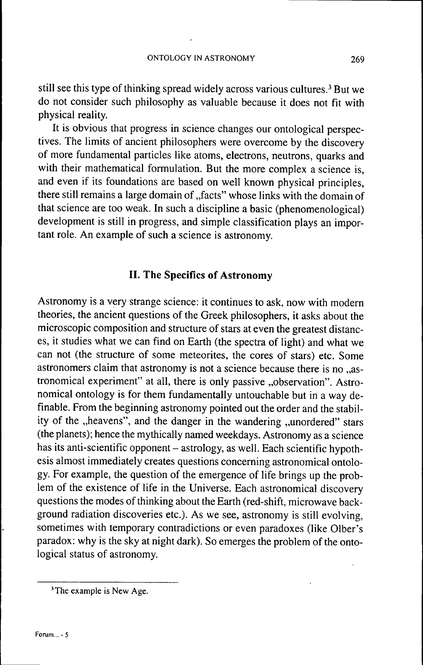still see this type of thinking spread widely across various cultures.<sup>3</sup> But we do not consider such philosophy as valuable because it does not fit with physical reality.

It is obvious that progress in science changes our ontological perspectives. The limits of ancient philosophers were overcome by the discovery of more fundamental particles like atoms, electrons, neutrons, quarks and with their mathematical formulation. But the more complex a science is, and even if its foundations are based on well known physical principles, there still remains a large domain of "facts" whose links with the domain of that science are too weak. In such a discipline a basic (phenomenological) development is still in progress, and simple classification plays an important role. An example of such a science is astronomy.

## **II. The Specifics of Astronomy**

Astronomy is a very strange science: it continues to ask, now with modern theories, the ancient questions of the Greek philosophers, it asks about the microscopic composition and structure of stars at even the greatest distances, it studies what we can find on Earth (the spectra of light) and what we can not (the structure of some meteorites, the cores of stars) etc. Some astronomers claim that astronomy is not a science because there is no ..astronomical experiment" at all, there is only passive "observation". Astronomical ontology is for them fundamentally untouchable but in a way definable. From the beginning astronomy pointed out the order and the stability of the "heavens", and the danger in the wandering "unordered" stars (the planets); hence the mythically named weekdays. Astronomy as a science has its anti-scientific opponent – astrology, as well. Each scientific hypothesis almost immediately creates questions conceming astronomical ontology. For example, the question of the emergence of life brings up the problem of the existence of life in the Universe. Each astronomical discovery questions the modes of thinking about the Earth (red-shift, microwave background radiation discoveries etc.). As we see, astronomy is still evolving, sometimes with temporary contradictions or even paradoxes (like Olber's paradox: why is the sky at night dark). So emerges the problem of the ontological status of astronomy.

<sup>&#</sup>x27;The example is New Age.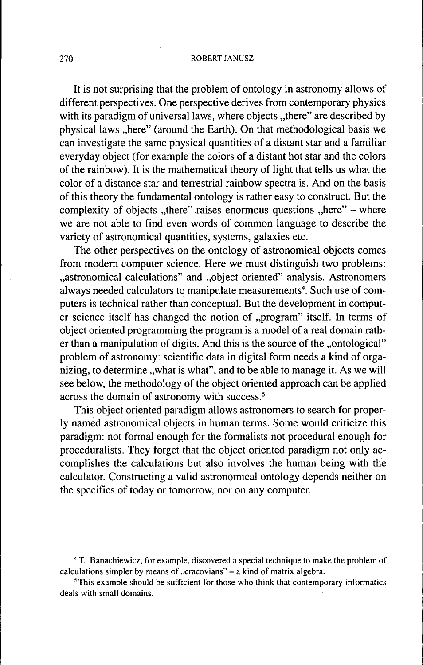#### 270 ROBERTJANUSZ

It is not surprising that the problem of ontology in astronomy allows of different perspectives. One perspective derives from contemporary physics with its paradigm of universal laws, where objects "there" are described by physical laws "here" (around the Earth). On that methodological basis we can investigate the same physical quantities of a distant star and a familiar everyday object (for example the colors of a distant hot star and the colors of the rainbow). It is the mathematical theory of light that tells us what the color of a distance star and terrestrial rainbow spectra is. And on the basis of this theory the fundamental ontology is rather easy to construct. But the complexity of objects "there" raises enormous questions "here"  $-$  where we are not able to find even words of common language to describe the variety of astronomical quantities, systems, galaxies etc.

The other perspectives on the ontology of astronomical objects comes from modem computer science. Here we must distinguish two problems: ..astronomical calculations" and ..object oriented" analysis. Astronomers always needed calculators to manipulate measurements<sup>4</sup>. Such use of computers is technical rather than conceptual. But the development in computer science itself has changed the notion of "program" itself. In terms of object oriented programming the program is a model of a real domain rather than a manipulation of digits. And this is the source of the ..ontological" problem of astronomy: scientific data in digital form needs a kind of organizing, to determine , what is what", and to be able to manage it. As we will see below, the methodology of the object oriented approach can be applied across the domain of astronomy with success.<sup>5</sup>

This object oriented paradigm allows astronomers to search for properly named astronomical objects in human terms. Some would criticize this paradigm: not formal enough for the formalists not procedural enough for proceduralists. They forget that the object oriented paradigm not only accomplishes the calculations but also involves the human being with the calculator. Constructing a valid astronomical ontology depends neither on the specifics of today or tomorrow, nor on any computer.

<sup>&</sup>lt;sup>4</sup> T. Banachiewicz, for example, discovered a special technique to make the problem of calculations simpler by means of  $C$ cracovians" - a kind of matrix algebra.

<sup>&</sup>lt;sup>5</sup>This example should be sufficient for those who think that contemporary informatics deals with small domains.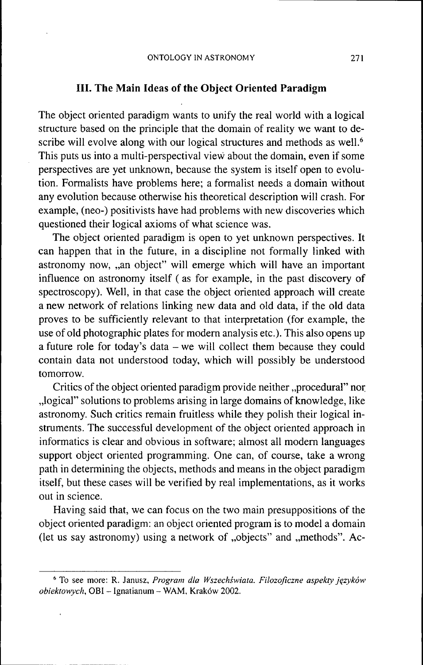### **III. The Main Ideas of the Object Oriented Paradigm**

The object oriented paradigm wants to unify the real world with a logical structure based on the principle that the domain of reality we want to describe will evolve along with our logical structures and methods as well.<sup>6</sup> This puts us into a multi-perspectival view about the domain, even if some perspectives are yet unknown, because the system is itself open to evolution. Formalists have problems here; a formalist needs a domain without any evolution because otherwise his theoretical description will crash. For example, (neo-) positivists have had problems with new discoveries which questioned their logical axioms of what science was.

The object oriented paradigm is open to yet unknown perspectives. It can happen that in the future, in a discipline not formally linked with astronomy now, "an object" will emerge which will have an important influence on astronomy itself ( as for example, in the past discovery of spectroscopy). Well, in that case the object oriented approach will create a new network of relations linking new data and old data, if the old data proves to be sufficiently relevant to that interpretation (for example, the use of old photographic plates for modem analysis etc.). This also opens up a future role for today's data – we will collect them because they could contain data not understood today, which will possibly be understood tomorrow.

Critics of the object oriented paradigm provide neither "procedural" nor ,,logical" solutions to problems arising in large domains of knowledge, like astronomy. Such critics remain fruitless while they polish their logical instruments. The successful development of the object oriented approach in informatics is clear and obvious in software; almost all modem languages support object oriented programming. One can, of course, take a wrong path in determining the objects, methods and means in the object paradigm itself, but these cases will be verified by real implementations, as it works out in science.

Having said that, we can focus on the two main presuppositions of the object oriented paradigm: an object oriented program is to model a domain (let us say astronomy) using a network of "objects" and "methods". Ac-

<sup>^</sup> To see more: R. Janusz, *Program dla Wszechswiata. Filozoficzne aspekty jçzykôw obiektowych,* OBI - Ignatianum - WAM, Krakow 2002.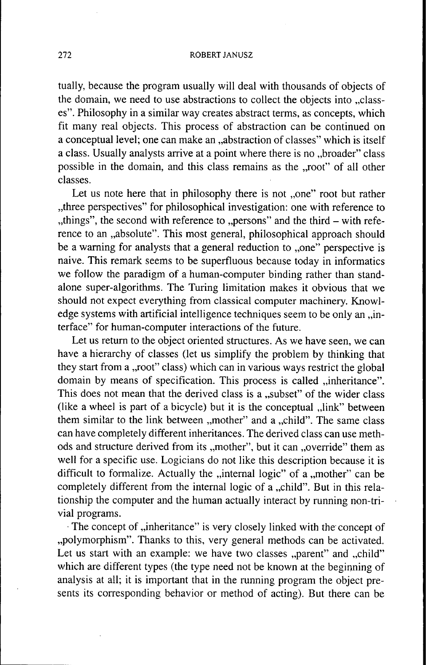### 272 ROBERT JANUSZ

tually, because the program usually will deal with thousands of objects of the domain, we need to use abstractions to collect the objects into ..classes". Philosophy in a similar way creates abstract terms, as concepts, which fit many real objects. This process of abstraction can be continued on a conceptual level; one can make an "abstraction of classes" which is itself a class. Usually analysts arrive at a point where there is no "broader" class possible in the domain, and this class remains as the "root" of all other classes.

Let us note here that in philosophy there is not "one" root but rather , three perspectives" for philosophical investigation: one with reference to "things", the second with reference to "persons" and the third – with reference to an "absolute". This most general, philosophical approach should be a warning for analysts that a general reduction to "one" perspective is naive. This remark seems to be superfluous because today in informatics we follow the paradigm of a human-computer binding rather than standalone super-algorithms. The Turing limitation makes it obvious that we should not expect everything from classical computer machinery. Knowledge systems with artificial intelligence techniques seem to be only an ..interface" for human-computer interactions of the future.

Let us return to the object oriented structures. As we have seen, we can have a hierarchy of classes (let us simplify the problem by thinking that they start from a "root" class) which can in various ways restrict the global domain by means of specification. This process is called ..inheritance". This does not mean that the derived class is a "subset" of the wider class (like a wheel is part of a bicycle) but it is the conceptual  $\mu$ link" between them similar to the link between ,,mother" and a ,,child". The same class can have completely different inheritances. The derived class can use methods and structure derived from its ,,mother", but it can ,,override" them as well for a specific use. Logicians do not like this description because it is difficult to formalize. Actually the  $\mu$  internal logic" of a  $\mu$  mother" can be completely different from the internal logic of  $\alpha$  "child". But in this relationship the computer and the human actually interact by running non-trivial programs.

The concept of "inheritance" is very closely linked with the concept of "polymorphism". Thanks to this, very general methods can be activated. Let us start with an example: we have two classes "parent" and "child" which are different types (the type need not be known at the beginning of analysis at all; it is important that in the running program the object presents its corresponding behavior or method of acting). But there can be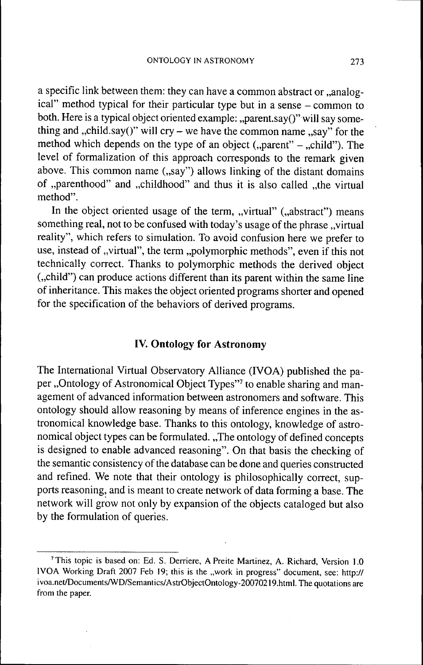a specific link between them: they can have a common abstract or "analogical" method typical for their particular type but in a sense - common to both. Here is a typical object oriented example: "parent.say()" will say something and "child.say()" will cry – we have the common name  $\alpha$ say" for the method which depends on the type of an object  $($ "parent" – "child"). The level of formalization of this approach corresponds to the remark given above. This common name ("say") allows linking of the distant domains of "parenthood" and "childhood" and thus it is also called "the virtual method".

In the object oriented usage of the term, "virtual" ("abstract") means something real, not to be confused with today's usage of the phrase "virtual reality", which refers to simulation. To avoid confusion here we prefer to use, instead of "virtual", the term "polymorphic methods", even if this not technically correct. Thanks to polymorphic methods the derived object (",child") can produce actions different than its parent within the same line of inheritance. This makes the object oriented programs shorter and opened for the specification of the behaviors of derived programs.

## **IV. Ontology for Astronomy**

The International Virtual Observatory Alliance (IVOA) published the paper "Ontology of Astronomical Object Types"<sup>7</sup> to enable sharing and management of advanced information between astronomers and software. This ontology should allow reasoning by means of inference engines in the astronomical knowledge base. Thanks to this ontology, knowledge of astronomical object types can be formulated. "The ontology of defined concepts" is designed to enable advanced reasoning". On that basis the checking of the semantic consistency of the database can be done and queries constructed and refined. We note that their ontology is philosophically correct, supports reasoning, and is meant to create network of data forming a base. The network will grow not only by expansion of the objects cataloged but also by the formulation of queries.

<sup>&</sup>lt;sup>7</sup> This topic is based on: Ed. S. Derriere, A Preite Martinez, A. Richard, Version 1.0 IVOA Working Draft 2007 Feb 19; this is the "work in progress" document, see: http:// ivoa.net/Documents/WD/Semantics/AstrObjectOntology-20070219.html. The quotations are from the paper.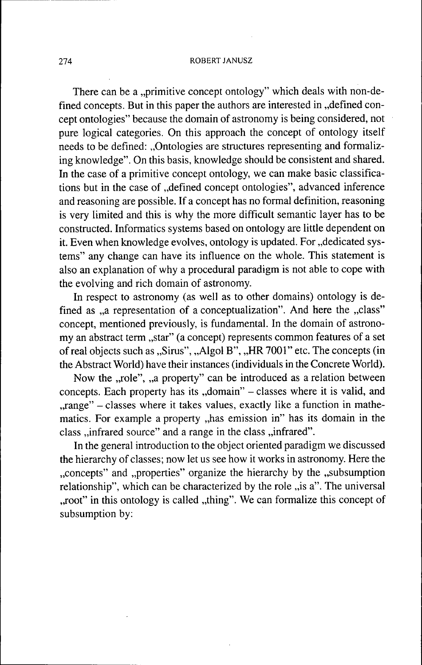### 274 ROBERT JANUSZ

There can be a "primitive concept ontology" which deals with non-defined concepts. But in this paper the authors are interested in "defined concept ontologies" because the domain of astronomy is being considered, not pure logical categories. On this approach the concept of ontology itself needs to be defined: "Ontologies are structures representing and formalizing knowledge". On this basis, knowledge should be consistent and shared. In the case of a primitive concept ontology, we can make basic classifications but in the case of "defined concept ontologies", advanced inference and reasoning are possible. If a concept has no formal definition, reasoning is very limited and this is why the more difficult semantic layer has to be constructed. Informatics systems based on ontology are little dependent on it. Even when knowledge evolves, ontology is updated. For "dedicated systems" any change can have its infiuence on the whole. This statement is also an explanation of why a procedural paradigm is not able to cope with the evolving and rich domain of astronomy.

In respect to astronomy (as well as to other domains) ontology is defined as "a representation of a conceptualization". And here the "class" concept, mentioned previously, is fundamental. In the domain of astronomy an abstract term "star" (a concept) represents common features of a set of real objects such as "Sirus", "Algol B", "HR 7001" etc. The concepts (in the Abstract World) have their instances (individuals in the Concrete World).

Now the "role", "a property" can be introduced as a relation between concepts. Each property has its "domain" – classes where it is valid, and ..range" – classes where it takes values, exactly like a function in mathematics. For example a property "has emission in" has its domain in the class , infrared source" and a range in the class , infrared".

In the general introduction to the object oriented paradigm we discussed the hierarchy of classes; now let us see how it works in astronomy. Here the "concepts" and "properties" organize the hierarchy by the "subsumption relationship", which can be characterized by the role  $\mu$  is a". The universal "root" in this ontology is called "thing". We can formalize this concept of subsumption by: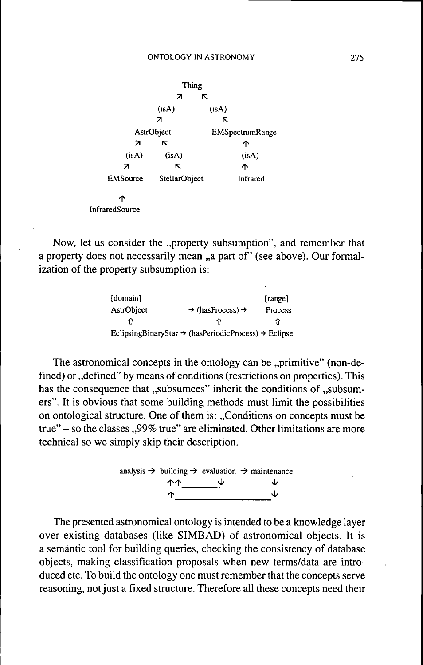|                 | Thing         |                        |
|-----------------|---------------|------------------------|
|                 | 7<br>π        |                        |
|                 | (isA)         | (isA)                  |
|                 | 21            |                        |
| AstrObject      |               | <b>EMSpectrumRange</b> |
| 71              | κ             | ↑                      |
| (isA)           | (isA)         | (isA)                  |
| 7               | κ             | ጥ                      |
| <b>EMSource</b> | StellarObject | Infrared               |
| ሳ               |               |                        |
| InfraredSource  |               |                        |

Now, let us consider the "property subsumption", and remember that a property does not necessarily mean "a part of" (see above). Our formalization of the property subsumption is:

| [domain]   |                                                                              | [range] |
|------------|------------------------------------------------------------------------------|---------|
| AstrObject | $\rightarrow$ (hasProcess) $\rightarrow$                                     | Process |
|            |                                                                              | 97      |
|            | EclipsingBinaryStar $\rightarrow$ (hasPeriodicProcess) $\rightarrow$ Eclipse |         |

The astronomical concepts in the ontology can be "primitive" (non-defined) or "defined" by means of conditions (restrictions on properties). This has the consequence that "subsumees" inherit the conditions of "subsumers". It is obvious that some building methods must limit the possibilities on ontological structure. One of them is: "Conditions on concepts must be true" - so the classes ,,99% true" are eliminated. Other limitations are more technical so we simply skip their description.



The presented astronomical ontology is intended to be a knowledge layer over existing databases (like SIMBAD) of astronomical objects. It is a semantic tool for building queries, checking the consistency of database objects, making classification proposals when new terms/data are introduced etc. To build the ontology one must remember that the concepts serve reasoning, not just a fixed structure. Therefore all these concepts need their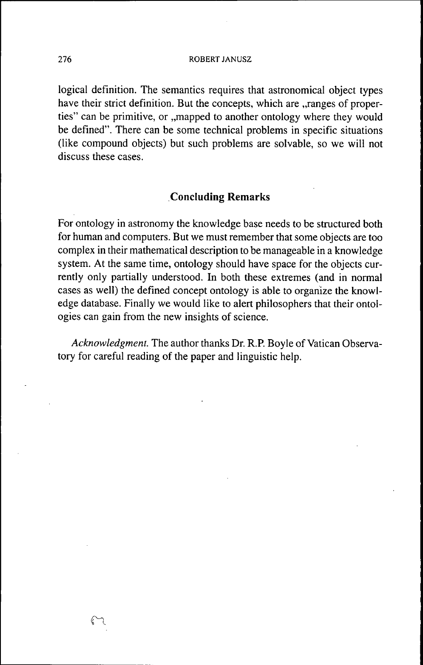### 276 ROBERT JANUSZ

logical definition. The semantics requires that astronomical object types have their strict definition. But the concepts, which are "ranges of properties" can be primitive, or ...mapped to another ontology where they would be defined". There can be some technical problems in specific situations (like compound objects) but such problems are solvable, so we will not discuss these cases.

# **Concluding Remarks**

For ontology in astronomy the knowledge base needs to be structured both for human and computers. But we must remember that some objects are too complex in their mathematical description to be manageable in a knowledge system. At the same time, ontology should have space for the objects currently only partially understood. In both these extremes (and in normal cases as well) the defined concept ontology is able to organize the knowledge database. Finally we would like to alert philosophers that their ontologies can gain from the new insights of science.

*Acknowledgment.* The author thanks Dr. R.P. Boyle of Vatican Observatory for careful reading of the paper and linguistic help.